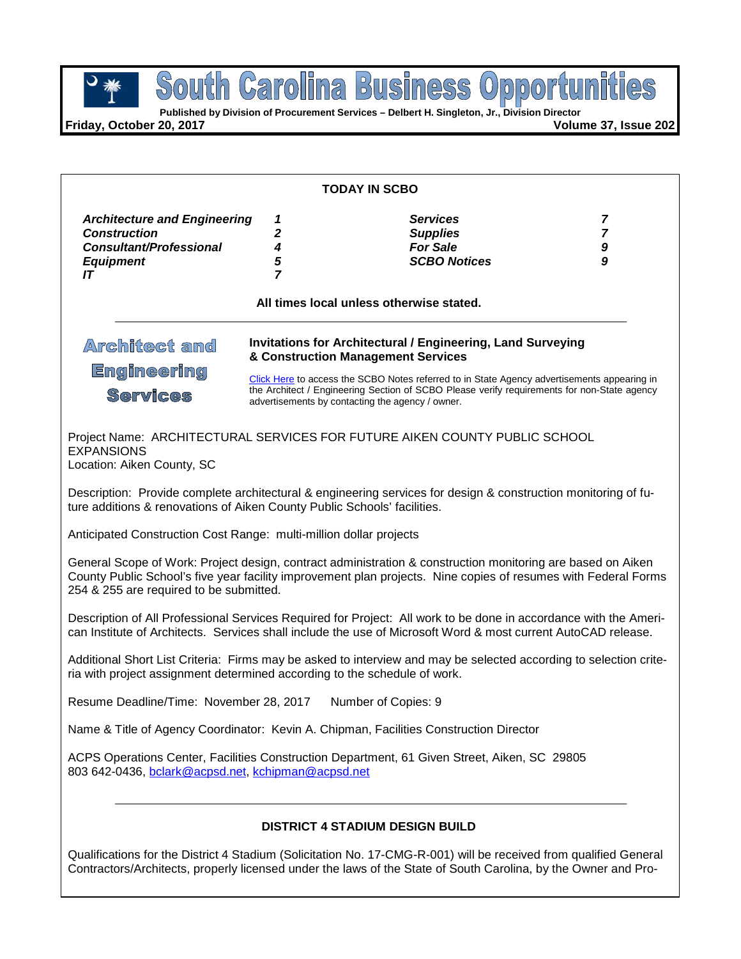

**South Carolina Business Opportunities** 

**Friday, October 20, 2017** 

| <b>TODAY IN SCBO</b>                                                                                                      |                                                                                                                                                 |                                                                                                                                                                                                                                   |   |  |  |
|---------------------------------------------------------------------------------------------------------------------------|-------------------------------------------------------------------------------------------------------------------------------------------------|-----------------------------------------------------------------------------------------------------------------------------------------------------------------------------------------------------------------------------------|---|--|--|
| <b>Architecture and Engineering</b>                                                                                       | 1                                                                                                                                               | <b>Services</b>                                                                                                                                                                                                                   | 7 |  |  |
| <b>Construction</b>                                                                                                       | 2                                                                                                                                               | <b>Supplies</b>                                                                                                                                                                                                                   | 7 |  |  |
| <b>Consultant/Professional</b>                                                                                            | 4                                                                                                                                               | <b>For Sale</b>                                                                                                                                                                                                                   | 9 |  |  |
| <b>Equipment</b><br>IT                                                                                                    | 5<br>$\overline{7}$                                                                                                                             | <b>SCBO Notices</b>                                                                                                                                                                                                               | 9 |  |  |
|                                                                                                                           |                                                                                                                                                 |                                                                                                                                                                                                                                   |   |  |  |
|                                                                                                                           |                                                                                                                                                 | All times local unless otherwise stated.                                                                                                                                                                                          |   |  |  |
| <b>Invitations for Architectural / Engineering, Land Surveying</b><br>Architect and<br>& Construction Management Services |                                                                                                                                                 |                                                                                                                                                                                                                                   |   |  |  |
| <b>Engineering</b>                                                                                                        |                                                                                                                                                 | Click Here to access the SCBO Notes referred to in State Agency advertisements appearing in                                                                                                                                       |   |  |  |
| <b>Services</b>                                                                                                           | the Architect / Engineering Section of SCBO Please verify requirements for non-State agency<br>advertisements by contacting the agency / owner. |                                                                                                                                                                                                                                   |   |  |  |
| <b>EXPANSIONS</b><br>Location: Aiken County, SC                                                                           |                                                                                                                                                 | Project Name: ARCHITECTURAL SERVICES FOR FUTURE AIKEN COUNTY PUBLIC SCHOOL                                                                                                                                                        |   |  |  |
| ture additions & renovations of Aiken County Public Schools' facilities.                                                  |                                                                                                                                                 | Description: Provide complete architectural & engineering services for design & construction monitoring of fu-                                                                                                                    |   |  |  |
| Anticipated Construction Cost Range: multi-million dollar projects                                                        |                                                                                                                                                 |                                                                                                                                                                                                                                   |   |  |  |
| 254 & 255 are required to be submitted.                                                                                   |                                                                                                                                                 | General Scope of Work: Project design, contract administration & construction monitoring are based on Aiken<br>County Public School's five year facility improvement plan projects. Nine copies of resumes with Federal Forms     |   |  |  |
|                                                                                                                           |                                                                                                                                                 | Description of All Professional Services Required for Project: All work to be done in accordance with the Ameri-<br>can Institute of Architects. Services shall include the use of Microsoft Word & most current AutoCAD release. |   |  |  |
|                                                                                                                           |                                                                                                                                                 | Additional Short List Criteria: Firms may be asked to interview and may be selected according to selection crite-                                                                                                                 |   |  |  |

ria with project assignment determined according to the schedule of work.

Resume Deadline/Time: November 28, 2017 Number of Copies: 9

Name & Title of Agency Coordinator: Kevin A. Chipman, Facilities Construction Director

ACPS Operations Center, Facilities Construction Department, 61 Given Street, Aiken, SC 29805 803 642-0436, [bclark@acpsd.net,](mailto:bclark@acpsd.net) [kchipman@acpsd.net](mailto:kchipman@acpsd.net)

## **DISTRICT 4 STADIUM DESIGN BUILD**

Qualifications for the District 4 Stadium (Solicitation No. 17-CMG-R-001) will be received from qualified General Contractors/Architects, properly licensed under the laws of the State of South Carolina, by the Owner and Pro-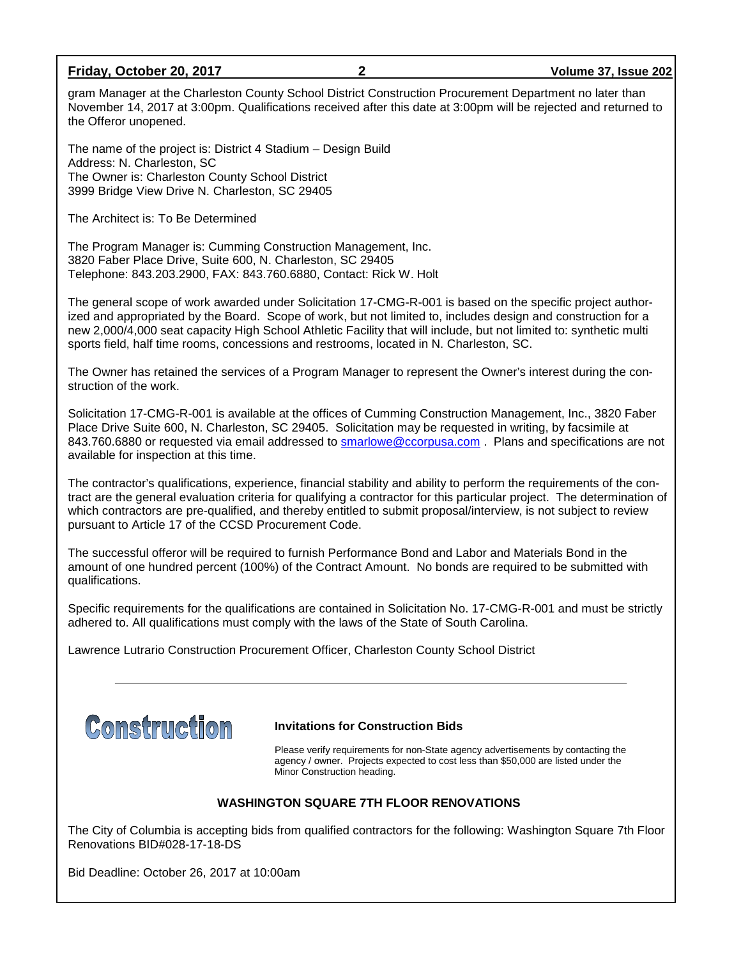#### **Friday, October 20, 2017 2 Volume 37, Issue 202**

gram Manager at the Charleston County School District Construction Procurement Department no later than November 14, 2017 at 3:00pm. Qualifications received after this date at 3:00pm will be rejected and returned to the Offeror unopened.

The name of the project is: District 4 Stadium – Design Build Address: N. Charleston, SC The Owner is: Charleston County School District 3999 Bridge View Drive N. Charleston, SC 29405

The Architect is: To Be Determined

The Program Manager is: Cumming Construction Management, Inc. 3820 Faber Place Drive, Suite 600, N. Charleston, SC 29405 Telephone: 843.203.2900, FAX: 843.760.6880, Contact: Rick W. Holt

The general scope of work awarded under Solicitation 17-CMG-R-001 is based on the specific project authorized and appropriated by the Board. Scope of work, but not limited to, includes design and construction for a new 2,000/4,000 seat capacity High School Athletic Facility that will include, but not limited to: synthetic multi sports field, half time rooms, concessions and restrooms, located in N. Charleston, SC.

The Owner has retained the services of a Program Manager to represent the Owner's interest during the construction of the work.

Solicitation 17-CMG-R-001 is available at the offices of Cumming Construction Management, Inc., 3820 Faber Place Drive Suite 600, N. Charleston, SC 29405. Solicitation may be requested in writing, by facsimile at 843.760.6880 or requested via email addressed to [smarlowe@ccorpusa.com](mailto:smarlowe@ccorpusa.com) . Plans and specifications are not available for inspection at this time.

The contractor's qualifications, experience, financial stability and ability to perform the requirements of the contract are the general evaluation criteria for qualifying a contractor for this particular project. The determination of which contractors are pre-qualified, and thereby entitled to submit proposal/interview, is not subject to review pursuant to Article 17 of the CCSD Procurement Code.

The successful offeror will be required to furnish Performance Bond and Labor and Materials Bond in the amount of one hundred percent (100%) of the Contract Amount. No bonds are required to be submitted with qualifications.

Specific requirements for the qualifications are contained in Solicitation No. 17-CMG-R-001 and must be strictly adhered to. All qualifications must comply with the laws of the State of South Carolina.

Lawrence Lutrario Construction Procurement Officer, Charleston County School District



#### **Invitations for Construction Bids**

Please verify requirements for non-State agency advertisements by contacting the agency / owner. Projects expected to cost less than \$50,000 are listed under the Minor Construction heading.

#### **WASHINGTON SQUARE 7TH FLOOR RENOVATIONS**

The City of Columbia is accepting bids from qualified contractors for the following: Washington Square 7th Floor Renovations BID#028-17-18-DS

Bid Deadline: October 26, 2017 at 10:00am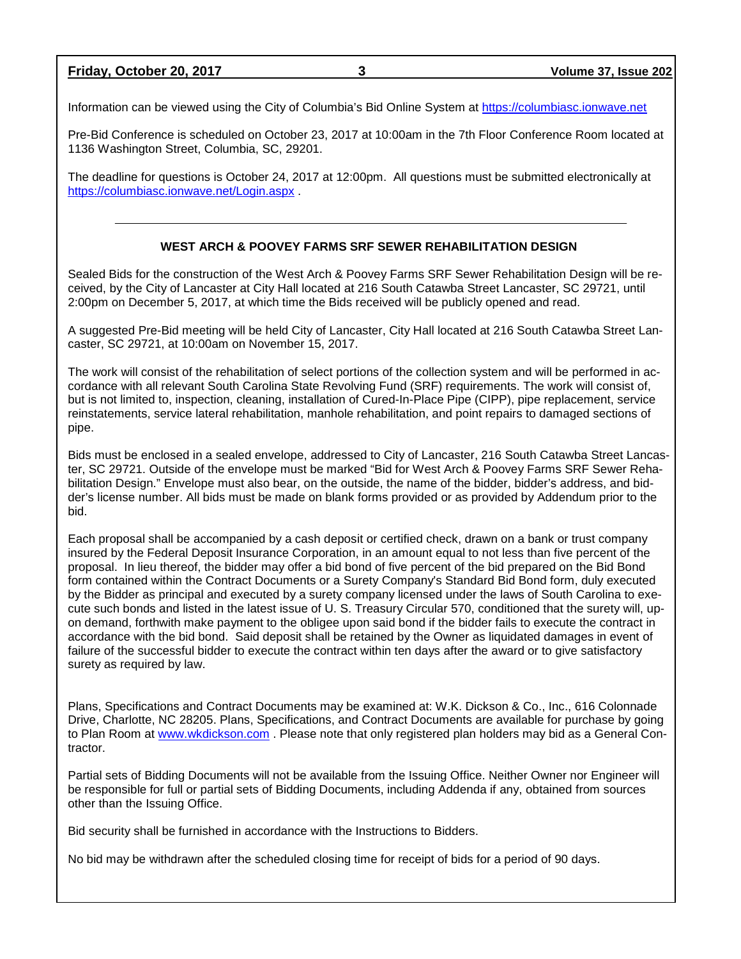**Friday, October 20, 2017 3 Volume 37, Issue 202**

Information can be viewed using the City of Columbia's Bid Online System at [https://columbiasc.ionwave.net](https://columbiasc.ionwave.net/)

Pre-Bid Conference is scheduled on October 23, 2017 at 10:00am in the 7th Floor Conference Room located at 1136 Washington Street, Columbia, SC, 29201.

The deadline for questions is October 24, 2017 at 12:00pm. All questions must be submitted electronically at <https://columbiasc.ionwave.net/Login.aspx> .

#### **WEST ARCH & POOVEY FARMS SRF SEWER REHABILITATION DESIGN**

Sealed Bids for the construction of the West Arch & Poovey Farms SRF Sewer Rehabilitation Design will be received, by the City of Lancaster at City Hall located at 216 South Catawba Street Lancaster, SC 29721, until 2:00pm on December 5, 2017, at which time the Bids received will be publicly opened and read.

A suggested Pre-Bid meeting will be held City of Lancaster, City Hall located at 216 South Catawba Street Lancaster, SC 29721, at 10:00am on November 15, 2017.

The work will consist of the rehabilitation of select portions of the collection system and will be performed in accordance with all relevant South Carolina State Revolving Fund (SRF) requirements. The work will consist of, but is not limited to, inspection, cleaning, installation of Cured-In-Place Pipe (CIPP), pipe replacement, service reinstatements, service lateral rehabilitation, manhole rehabilitation, and point repairs to damaged sections of pipe.

Bids must be enclosed in a sealed envelope, addressed to City of Lancaster, 216 South Catawba Street Lancaster, SC 29721. Outside of the envelope must be marked "Bid for West Arch & Poovey Farms SRF Sewer Rehabilitation Design." Envelope must also bear, on the outside, the name of the bidder, bidder's address, and bidder's license number. All bids must be made on blank forms provided or as provided by Addendum prior to the bid.

Each proposal shall be accompanied by a cash deposit or certified check, drawn on a bank or trust company insured by the Federal Deposit Insurance Corporation, in an amount equal to not less than five percent of the proposal. In lieu thereof, the bidder may offer a bid bond of five percent of the bid prepared on the Bid Bond form contained within the Contract Documents or a Surety Company's Standard Bid Bond form, duly executed by the Bidder as principal and executed by a surety company licensed under the laws of South Carolina to execute such bonds and listed in the latest issue of U. S. Treasury Circular 570, conditioned that the surety will, upon demand, forthwith make payment to the obligee upon said bond if the bidder fails to execute the contract in accordance with the bid bond. Said deposit shall be retained by the Owner as liquidated damages in event of failure of the successful bidder to execute the contract within ten days after the award or to give satisfactory surety as required by law.

Plans, Specifications and Contract Documents may be examined at: W.K. Dickson & Co., Inc., 616 Colonnade Drive, Charlotte, NC 28205. Plans, Specifications, and Contract Documents are available for purchase by going to Plan Room at [www.wkdickson.com](http://www.wkdickson.com/) . Please note that only registered plan holders may bid as a General Contractor.

Partial sets of Bidding Documents will not be available from the Issuing Office. Neither Owner nor Engineer will be responsible for full or partial sets of Bidding Documents, including Addenda if any, obtained from sources other than the Issuing Office.

Bid security shall be furnished in accordance with the Instructions to Bidders.

No bid may be withdrawn after the scheduled closing time for receipt of bids for a period of 90 days.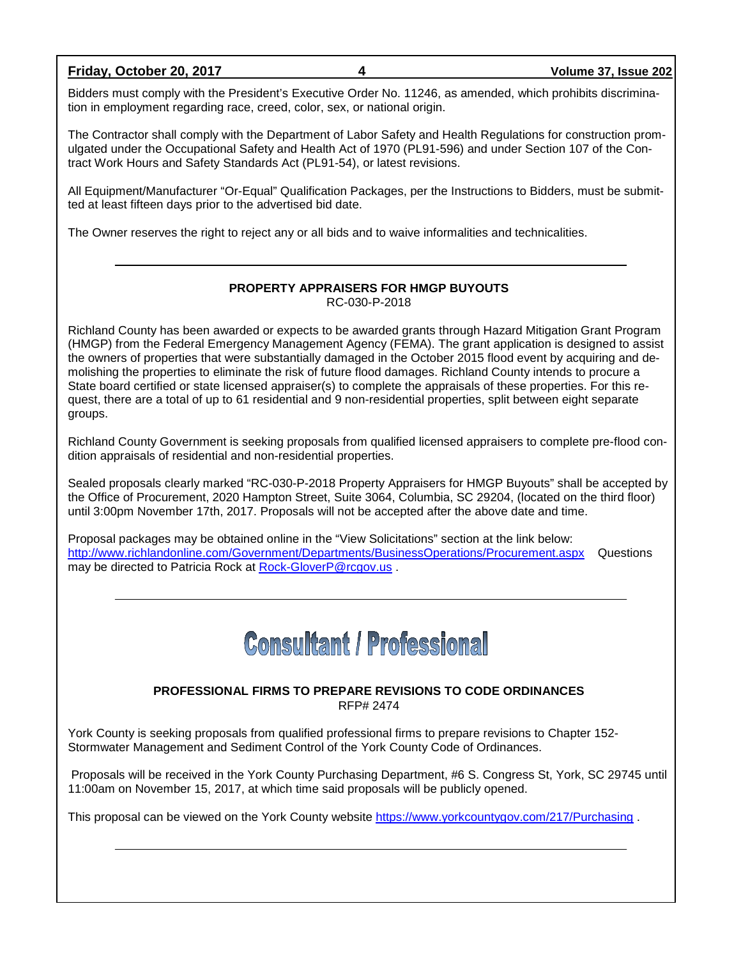#### **Friday, October 20, 2017 4 Volume 37, Issue 202**

Bidders must comply with the President's Executive Order No. 11246, as amended, which prohibits discrimination in employment regarding race, creed, color, sex, or national origin.

The Contractor shall comply with the Department of Labor Safety and Health Regulations for construction promulgated under the Occupational Safety and Health Act of 1970 (PL91-596) and under Section 107 of the Contract Work Hours and Safety Standards Act (PL91-54), or latest revisions.

All Equipment/Manufacturer "Or-Equal" Qualification Packages, per the Instructions to Bidders, must be submitted at least fifteen days prior to the advertised bid date.

The Owner reserves the right to reject any or all bids and to waive informalities and technicalities.

#### **PROPERTY APPRAISERS FOR HMGP BUYOUTS** RC-030-P-2018

Richland County has been awarded or expects to be awarded grants through Hazard Mitigation Grant Program (HMGP) from the Federal Emergency Management Agency (FEMA). The grant application is designed to assist the owners of properties that were substantially damaged in the October 2015 flood event by acquiring and demolishing the properties to eliminate the risk of future flood damages. Richland County intends to procure a State board certified or state licensed appraiser(s) to complete the appraisals of these properties. For this request, there are a total of up to 61 residential and 9 non-residential properties, split between eight separate groups.

Richland County Government is seeking proposals from qualified licensed appraisers to complete pre-flood condition appraisals of residential and non-residential properties.

Sealed proposals clearly marked "RC-030-P-2018 Property Appraisers for HMGP Buyouts" shall be accepted by the Office of Procurement, 2020 Hampton Street, Suite 3064, Columbia, SC 29204, (located on the third floor) until 3:00pm November 17th, 2017. Proposals will not be accepted after the above date and time.

Proposal packages may be obtained online in the "View Solicitations" section at the link below: <http://www.richlandonline.com/Government/Departments/BusinessOperations/Procurement.aspx> Questions may be directed to Patricia Rock at [Rock-GloverP@rcgov.us](mailto:Rock-GloverP@rcgov.us) .

## **Consultant / Professional**

#### **PROFESSIONAL FIRMS TO PREPARE REVISIONS TO CODE ORDINANCES** RFP# 2474

York County is seeking proposals from qualified professional firms to prepare revisions to Chapter 152- Stormwater Management and Sediment Control of the York County Code of Ordinances.

Proposals will be received in the York County Purchasing Department, #6 S. Congress St, York, SC 29745 until 11:00am on November 15, 2017, at which time said proposals will be publicly opened.

This proposal can be viewed on the York County website<https://www.yorkcountygov.com/217/Purchasing> .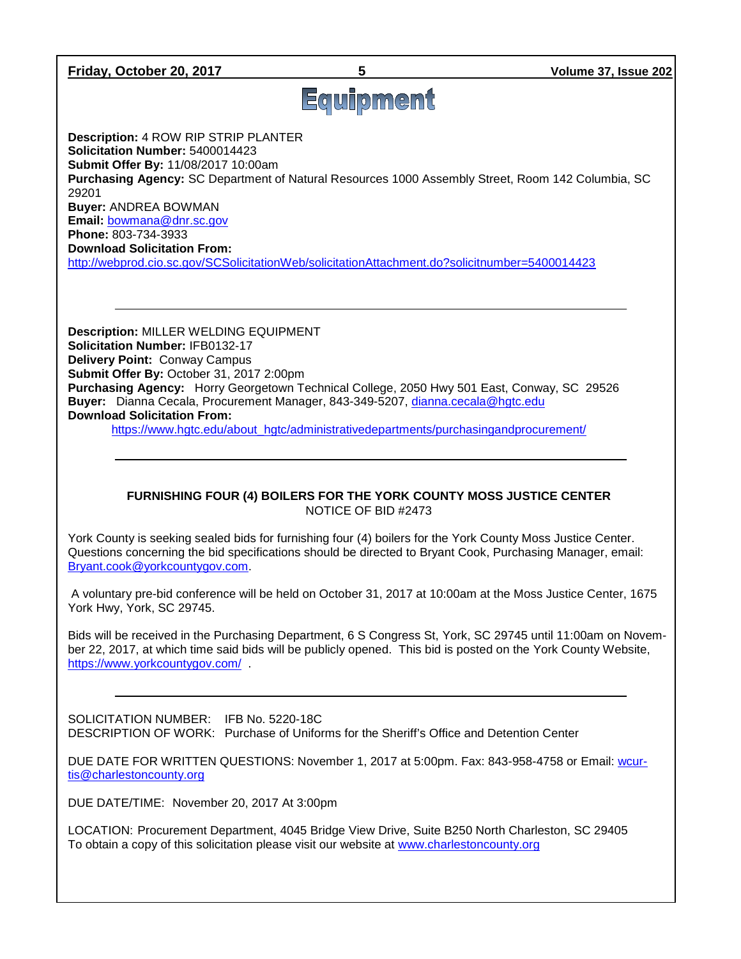#### **Friday, October 20, 2017 5 Volume 37, Issue 202**

# Equipment

**Description:** 4 ROW RIP STRIP PLANTER **Solicitation Number:** 5400014423 **Submit Offer By:** 11/08/2017 10:00am

**Purchasing Agency:** SC Department of Natural Resources 1000 Assembly Street, Room 142 Columbia, SC 29201

**Buyer:** ANDREA BOWMAN

**Email:** [bowmana@dnr.sc.gov](mailto:bowmana@dnr.sc.gov) **Phone:** 803-734-3933

**Download Solicitation From:** 

<http://webprod.cio.sc.gov/SCSolicitationWeb/solicitationAttachment.do?solicitnumber=5400014423>

**Description:** MILLER WELDING EQUIPMENT **Solicitation Number:** IFB0132-17 **Delivery Point:** Conway Campus **Submit Offer By:** October 31, 2017 2:00pm **Purchasing Agency:** Horry Georgetown Technical College, 2050 Hwy 501 East, Conway, SC 29526 **Buyer:** Dianna Cecala, Procurement Manager, 843-349-5207, [dianna.cecala@hgtc.edu](mailto:dianna.cecala@hgtc.edu) **Download Solicitation From:**

[https://www.hgtc.edu/about\\_hgtc/administrativedepartments/purchasingandprocurement/](https://www.hgtc.edu/about_hgtc/administrativedepartments/purchasingandprocurement/)

#### **FURNISHING FOUR (4) BOILERS FOR THE YORK COUNTY MOSS JUSTICE CENTER** NOTICE OF BID #2473

York County is seeking sealed bids for furnishing four (4) boilers for the York County Moss Justice Center. Questions concerning the bid specifications should be directed to Bryant Cook, Purchasing Manager, email: [Bryant.cook@yorkcountygov.com.](mailto:Bryant.cook@yorkcountygov.com)

A voluntary pre-bid conference will be held on October 31, 2017 at 10:00am at the Moss Justice Center, 1675 York Hwy, York, SC 29745.

Bids will be received in the Purchasing Department, 6 S Congress St, York, SC 29745 until 11:00am on November 22, 2017, at which time said bids will be publicly opened. This bid is posted on the York County Website, <https://www.yorkcountygov.com/> .

SOLICITATION NUMBER: IFB No. 5220-18C DESCRIPTION OF WORK: Purchase of Uniforms for the Sheriff's Office and Detention Center

DUE DATE FOR WRITTEN QUESTIONS: November 1, 2017 at 5:00pm. Fax: 843-958-4758 or Email: [wcur](mailto:wcurtis@charlestoncounty.org)[tis@charlestoncounty.org](mailto:wcurtis@charlestoncounty.org)

DUE DATE/TIME: November 20, 2017 At 3:00pm

LOCATION: Procurement Department, 4045 Bridge View Drive, Suite B250 North Charleston, SC 29405 To obtain a copy of this solicitation please visit our website at [www.charlestoncounty.org](http://www.charlestoncounty.org/)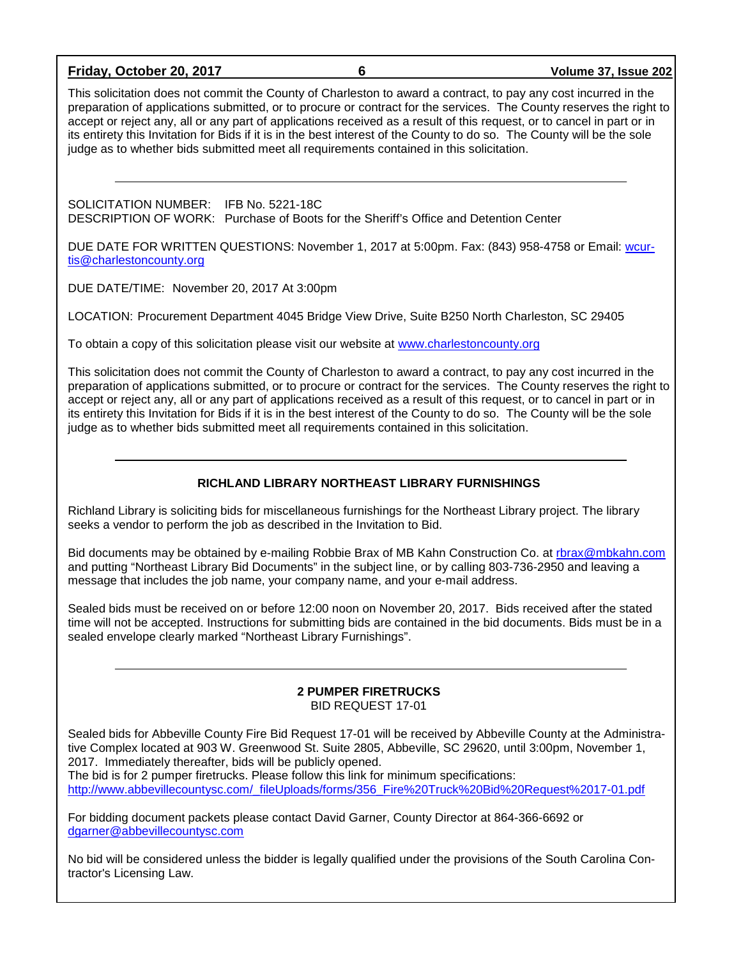#### **Friday, October 20, 2017 6 Volume 37, Issue 202**

This solicitation does not commit the County of Charleston to award a contract, to pay any cost incurred in the preparation of applications submitted, or to procure or contract for the services. The County reserves the right to accept or reject any, all or any part of applications received as a result of this request, or to cancel in part or in its entirety this Invitation for Bids if it is in the best interest of the County to do so. The County will be the sole judge as to whether bids submitted meet all requirements contained in this solicitation.

SOLICITATION NUMBER: IFB No. 5221-18C DESCRIPTION OF WORK: Purchase of Boots for the Sheriff's Office and Detention Center

DUE DATE FOR WRITTEN QUESTIONS: November 1, 2017 at 5:00pm. Fax: (843) 958-4758 or Email: [wcur](mailto:wcurtis@charlestoncounty.org)[tis@charlestoncounty.org](mailto:wcurtis@charlestoncounty.org)

DUE DATE/TIME: November 20, 2017 At 3:00pm

LOCATION: Procurement Department 4045 Bridge View Drive, Suite B250 North Charleston, SC 29405

To obtain a copy of this solicitation please visit our website at [www.charlestoncounty.org](http://www.charlestoncounty.org/)

This solicitation does not commit the County of Charleston to award a contract, to pay any cost incurred in the preparation of applications submitted, or to procure or contract for the services. The County reserves the right to accept or reject any, all or any part of applications received as a result of this request, or to cancel in part or in its entirety this Invitation for Bids if it is in the best interest of the County to do so. The County will be the sole judge as to whether bids submitted meet all requirements contained in this solicitation.

#### **RICHLAND LIBRARY NORTHEAST LIBRARY FURNISHINGS**

Richland Library is soliciting bids for miscellaneous furnishings for the Northeast Library project. The library seeks a vendor to perform the job as described in the Invitation to Bid.

Bid documents may be obtained by e-mailing Robbie Brax of MB Kahn Construction Co. at [rbrax@mbkahn.com](mailto:rbrax@mbkahn.com) and putting "Northeast Library Bid Documents" in the subject line, or by calling 803-736-2950 and leaving a message that includes the job name, your company name, and your e-mail address.

Sealed bids must be received on or before 12:00 noon on November 20, 2017. Bids received after the stated time will not be accepted. Instructions for submitting bids are contained in the bid documents. Bids must be in a sealed envelope clearly marked "Northeast Library Furnishings".

#### **2 PUMPER FIRETRUCKS** BID REQUEST 17-01

Sealed bids for Abbeville County Fire Bid Request 17-01 will be received by Abbeville County at the Administrative Complex located at 903 W. Greenwood St. Suite 2805, Abbeville, SC 29620, until 3:00pm, November 1, 2017. Immediately thereafter, bids will be publicly opened.

The bid is for 2 pumper firetrucks. Please follow this link for minimum specifications: [http://www.abbevillecountysc.com/\\_fileUploads/forms/356\\_Fire%20Truck%20Bid%20Request%2017-01.pdf](http://www.abbevillecountysc.com/_fileUploads/forms/356_Fire%20Truck%20Bid%20Request%2017-01.pdf)

For bidding document packets please contact David Garner, County Director at 864-366-6692 or [dgarner@abbevillecountysc.com](mailto:dgarner@abbevillecountysc.com)

No bid will be considered unless the bidder is legally qualified under the provisions of the South Carolina Contractor's Licensing Law.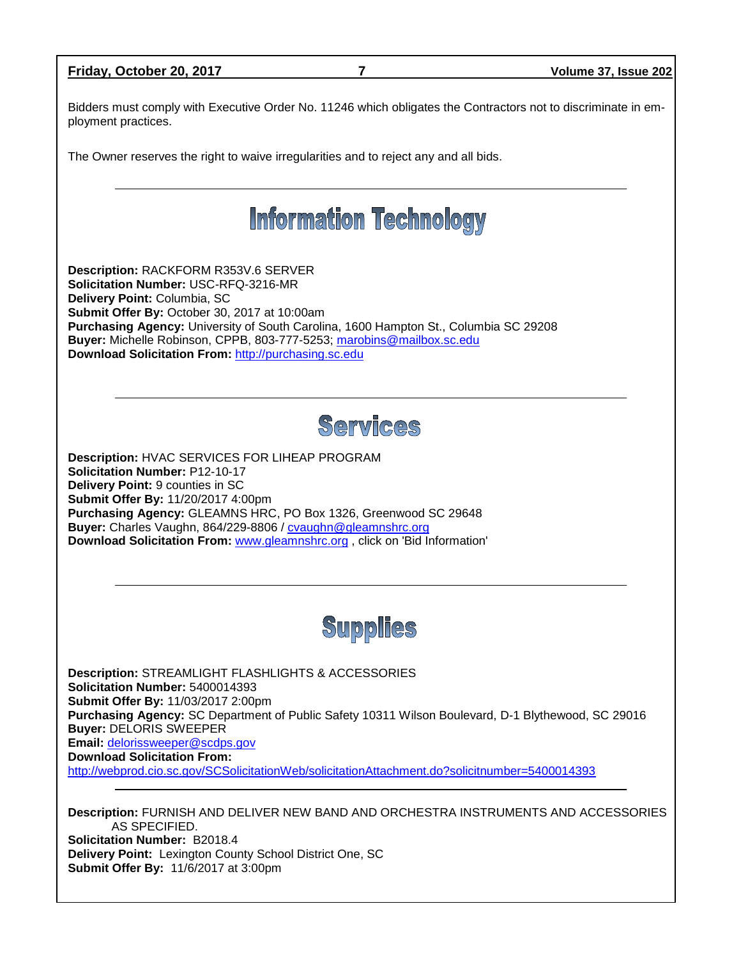| Friday, October 20, 2017                                                                                                                                                                                                                         | 7                                                                                                                                                                                                    | Volume 37, Issue 202                                                                                          |  |  |
|--------------------------------------------------------------------------------------------------------------------------------------------------------------------------------------------------------------------------------------------------|------------------------------------------------------------------------------------------------------------------------------------------------------------------------------------------------------|---------------------------------------------------------------------------------------------------------------|--|--|
| ployment practices.                                                                                                                                                                                                                              |                                                                                                                                                                                                      | Bidders must comply with Executive Order No. 11246 which obligates the Contractors not to discriminate in em- |  |  |
|                                                                                                                                                                                                                                                  | The Owner reserves the right to waive irregularities and to reject any and all bids.                                                                                                                 |                                                                                                               |  |  |
| <b>Information Technology</b>                                                                                                                                                                                                                    |                                                                                                                                                                                                      |                                                                                                               |  |  |
| Description: RACKFORM R353V.6 SERVER<br>Solicitation Number: USC-RFQ-3216-MR<br>Delivery Point: Columbia, SC<br>Submit Offer By: October 30, 2017 at 10:00am<br>Download Solicitation From: http://purchasing.sc.edu                             | Purchasing Agency: University of South Carolina, 1600 Hampton St., Columbia SC 29208<br>Buyer: Michelle Robinson, CPPB, 803-777-5253; marobins@mailbox.sc.edu                                        |                                                                                                               |  |  |
|                                                                                                                                                                                                                                                  | <b>Services</b>                                                                                                                                                                                      |                                                                                                               |  |  |
| Description: HVAC SERVICES FOR LIHEAP PROGRAM<br><b>Solicitation Number: P12-10-17</b><br>Delivery Point: 9 counties in SC<br>Submit Offer By: 11/20/2017 4:00pm<br>Buyer: Charles Vaughn, 864/229-8806 / cvaughn@gleamnshrc.org                 | Purchasing Agency: GLEAMNS HRC, PO Box 1326, Greenwood SC 29648<br>Download Solicitation From: www.gleamnshrc.org, click on 'Bid Information'                                                        |                                                                                                               |  |  |
| <b>Supplies</b>                                                                                                                                                                                                                                  |                                                                                                                                                                                                      |                                                                                                               |  |  |
| <b>Description: STREAMLIGHT FLASHLIGHTS &amp; ACCESSORIES</b><br>Solicitation Number: 5400014393<br>Submit Offer By: 11/03/2017 2:00pm<br><b>Buyer: DELORIS SWEEPER</b><br>Email: delorissweeper@scdps.gov<br><b>Download Solicitation From:</b> | Purchasing Agency: SC Department of Public Safety 10311 Wilson Boulevard, D-1 Blythewood, SC 29016<br>http://webprod.cio.sc.gov/SCSolicitationWeb/solicitationAttachment.do?solicitnumber=5400014393 |                                                                                                               |  |  |
| AS SPECIFIED.<br><b>Solicitation Number: B2018.4</b><br>Delivery Point: Lexington County School District One, SC<br>Submit Offer By: 11/6/2017 at 3:00pm                                                                                         |                                                                                                                                                                                                      | Description: FURNISH AND DELIVER NEW BAND AND ORCHESTRA INSTRUMENTS AND ACCESSORIES                           |  |  |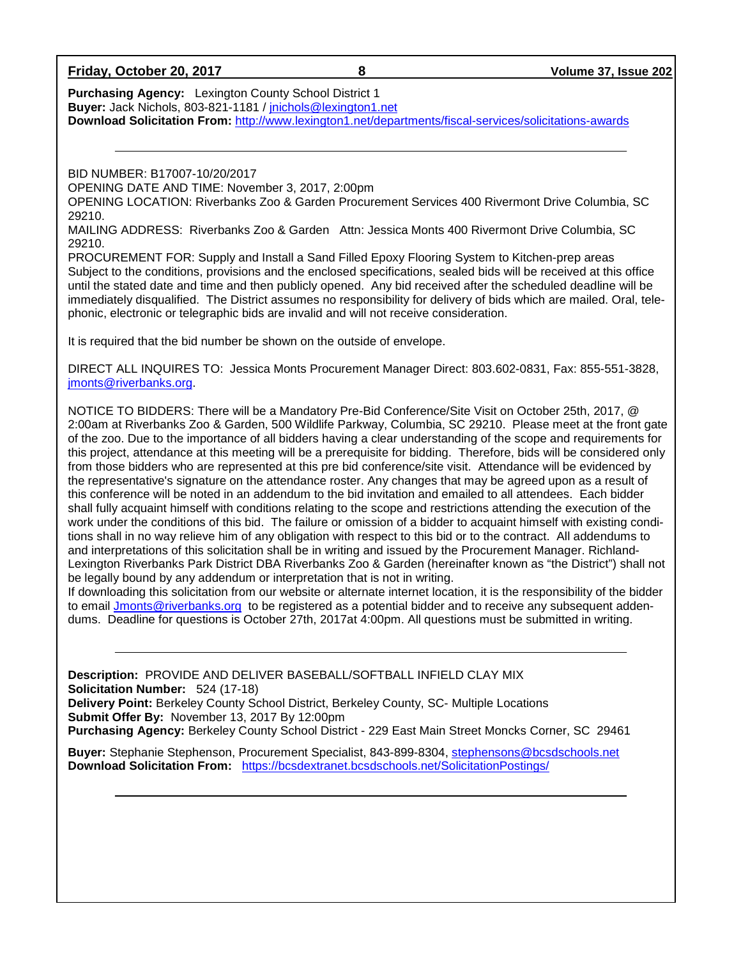| Friday, October 20, 2017 |  |  |  |  |
|--------------------------|--|--|--|--|
|--------------------------|--|--|--|--|

**Purchasing Agency:** Lexington County School District 1 **Buyer:** Jack Nichols, 803-821-1181 / [jnichols@lexington1.net](mailto:jnichols@lexington1.net) **Download Solicitation From:** <http://www.lexington1.net/departments/fiscal-services/solicitations-awards>

BID NUMBER: B17007-10/20/2017

OPENING DATE AND TIME: November 3, 2017, 2:00pm

OPENING LOCATION: Riverbanks Zoo & Garden Procurement Services 400 Rivermont Drive Columbia, SC 29210.

MAILING ADDRESS: Riverbanks Zoo & Garden Attn: Jessica Monts 400 Rivermont Drive Columbia, SC 29210.

PROCUREMENT FOR: Supply and Install a Sand Filled Epoxy Flooring System to Kitchen-prep areas Subject to the conditions, provisions and the enclosed specifications, sealed bids will be received at this office until the stated date and time and then publicly opened. Any bid received after the scheduled deadline will be immediately disqualified. The District assumes no responsibility for delivery of bids which are mailed. Oral, telephonic, electronic or telegraphic bids are invalid and will not receive consideration.

It is required that the bid number be shown on the outside of envelope.

DIRECT ALL INQUIRES TO: Jessica Monts Procurement Manager Direct: 803.602-0831, Fax: 855-551-3828, [jmonts@riverbanks.org.](mailto:jmonts@riverbanks.org)

NOTICE TO BIDDERS: There will be a Mandatory Pre-Bid Conference/Site Visit on October 25th, 2017, @ 2:00am at Riverbanks Zoo & Garden, 500 Wildlife Parkway, Columbia, SC 29210. Please meet at the front gate of the zoo. Due to the importance of all bidders having a clear understanding of the scope and requirements for this project, attendance at this meeting will be a prerequisite for bidding. Therefore, bids will be considered only from those bidders who are represented at this pre bid conference/site visit. Attendance will be evidenced by the representative's signature on the attendance roster. Any changes that may be agreed upon as a result of this conference will be noted in an addendum to the bid invitation and emailed to all attendees. Each bidder shall fully acquaint himself with conditions relating to the scope and restrictions attending the execution of the work under the conditions of this bid. The failure or omission of a bidder to acquaint himself with existing conditions shall in no way relieve him of any obligation with respect to this bid or to the contract. All addendums to and interpretations of this solicitation shall be in writing and issued by the Procurement Manager. Richland-Lexington Riverbanks Park District DBA Riverbanks Zoo & Garden (hereinafter known as "the District") shall not be legally bound by any addendum or interpretation that is not in writing.

If downloading this solicitation from our website or alternate internet location, it is the responsibility of the bidder to email [Jmonts@riverbanks.org](mailto:Jmonts@riverbanks.org) to be registered as a potential bidder and to receive any subsequent addendums. Deadline for questions is October 27th, 2017at 4:00pm. All questions must be submitted in writing.

**Description:** PROVIDE AND DELIVER BASEBALL/SOFTBALL INFIELD CLAY MIX **Solicitation Number:** 524 (17-18) **Delivery Point:** Berkeley County School District, Berkeley County, SC- Multiple Locations **Submit Offer By:** November 13, 2017 By 12:00pm **Purchasing Agency:** Berkeley County School District - 229 East Main Street Moncks Corner, SC 29461

**Buyer:** Stephanie Stephenson, Procurement Specialist, 843-899-8304, [stephensons@bcsdschools.net](mailto:stephensons@bcsdschools.net) **Download Solicitation From:** <https://bcsdextranet.bcsdschools.net/SolicitationPostings/>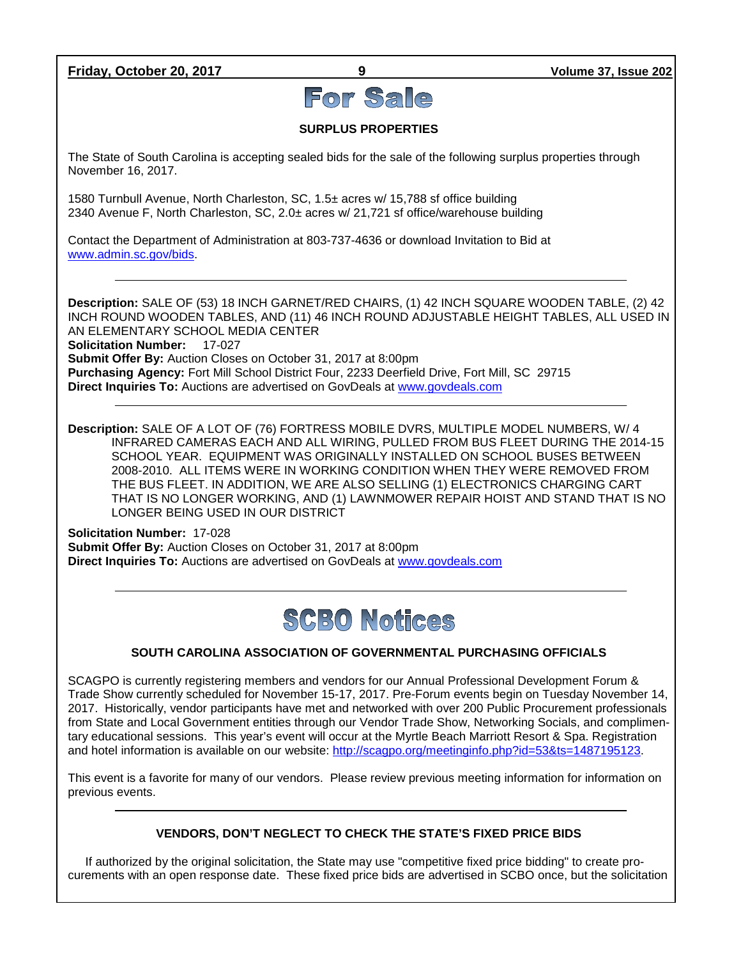**Friday, October 20, 2017 9 Volume 37, Issue 202**

# For Sale

## **SURPLUS PROPERTIES**

The State of South Carolina is accepting sealed bids for the sale of the following surplus properties through November 16, 2017.

1580 Turnbull Avenue, North Charleston, SC, 1.5± acres w/ 15,788 sf office building 2340 Avenue F, North Charleston, SC, 2.0± acres w/ 21,721 sf office/warehouse building

Contact the Department of Administration at 803-737-4636 or download Invitation to Bid at [www.admin.sc.gov/bids.](http://www.admin.sc.gov/bids)

**Description:** SALE OF (53) 18 INCH GARNET/RED CHAIRS, (1) 42 INCH SQUARE WOODEN TABLE, (2) 42 INCH ROUND WOODEN TABLES, AND (11) 46 INCH ROUND ADJUSTABLE HEIGHT TABLES, ALL USED IN AN ELEMENTARY SCHOOL MEDIA CENTER **Solicitation Number:** 17-027 **Submit Offer By:** Auction Closes on October 31, 2017 at 8:00pm **Purchasing Agency:** Fort Mill School District Four, 2233 Deerfield Drive, Fort Mill, SC 29715 **Direct Inquiries To:** Auctions are advertised on GovDeals at [www.govdeals.com](http://www.govdeals.com/)

**Description:** SALE OF A LOT OF (76) FORTRESS MOBILE DVRS, MULTIPLE MODEL NUMBERS, W/ 4 INFRARED CAMERAS EACH AND ALL WIRING, PULLED FROM BUS FLEET DURING THE 2014-15 SCHOOL YEAR. EQUIPMENT WAS ORIGINALLY INSTALLED ON SCHOOL BUSES BETWEEN 2008-2010. ALL ITEMS WERE IN WORKING CONDITION WHEN THEY WERE REMOVED FROM THE BUS FLEET. IN ADDITION, WE ARE ALSO SELLING (1) ELECTRONICS CHARGING CART THAT IS NO LONGER WORKING, AND (1) LAWNMOWER REPAIR HOIST AND STAND THAT IS NO LONGER BEING USED IN OUR DISTRICT

**Solicitation Number:** 17-028 **Submit Offer By:** Auction Closes on October 31, 2017 at 8:00pm **Direct Inquiries To:** Auctions are advertised on GovDeals at [www.govdeals.com](http://www.govdeals.com/)

## **SCBO Notices**

## **SOUTH CAROLINA ASSOCIATION OF GOVERNMENTAL PURCHASING OFFICIALS**

SCAGPO is currently registering members and vendors for our Annual Professional Development Forum & Trade Show currently scheduled for November 15-17, 2017. Pre-Forum events begin on Tuesday November 14, 2017. Historically, vendor participants have met and networked with over 200 Public Procurement professionals from State and Local Government entities through our Vendor Trade Show, Networking Socials, and complimentary educational sessions. This year's event will occur at the Myrtle Beach Marriott Resort & Spa. Registration and hotel information is available on our website: [http://scagpo.org/meetinginfo.php?id=53&ts=1487195123.](http://scagpo.org/meetinginfo.php?id=53&ts=1487195123)

This event is a favorite for many of our vendors. Please review previous meeting information for information on previous events.

#### **VENDORS, DON'T NEGLECT TO CHECK THE STATE'S FIXED PRICE BIDS**

If authorized by the original solicitation, the State may use "competitive fixed price bidding" to create procurements with an open response date. These fixed price bids are advertised in SCBO once, but the solicitation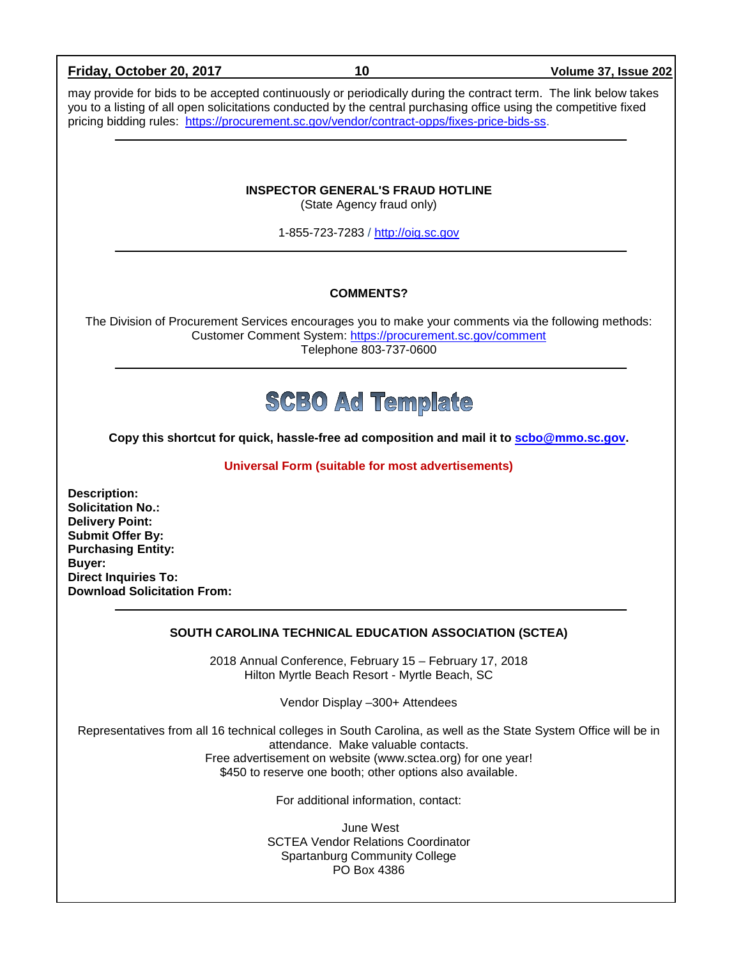| Friday, October 20, 2017                                                                                                                                                                                         | 10                                                                                                                                                                                                                                                                                                                                  | Volume 37, Issue 202 |  |  |
|------------------------------------------------------------------------------------------------------------------------------------------------------------------------------------------------------------------|-------------------------------------------------------------------------------------------------------------------------------------------------------------------------------------------------------------------------------------------------------------------------------------------------------------------------------------|----------------------|--|--|
|                                                                                                                                                                                                                  | may provide for bids to be accepted continuously or periodically during the contract term. The link below takes<br>you to a listing of all open solicitations conducted by the central purchasing office using the competitive fixed<br>pricing bidding rules: https://procurement.sc.gov/vendor/contract-opps/fixes-price-bids-ss. |                      |  |  |
|                                                                                                                                                                                                                  | <b>INSPECTOR GENERAL'S FRAUD HOTLINE</b><br>(State Agency fraud only)<br>1-855-723-7283 / http://oig.sc.gov                                                                                                                                                                                                                         |                      |  |  |
|                                                                                                                                                                                                                  |                                                                                                                                                                                                                                                                                                                                     |                      |  |  |
|                                                                                                                                                                                                                  | <b>COMMENTS?</b>                                                                                                                                                                                                                                                                                                                    |                      |  |  |
|                                                                                                                                                                                                                  | The Division of Procurement Services encourages you to make your comments via the following methods:<br>Customer Comment System: https://procurement.sc.gov/comment<br>Telephone 803-737-0600                                                                                                                                       |                      |  |  |
|                                                                                                                                                                                                                  | <b>SCBO Ad Template</b>                                                                                                                                                                                                                                                                                                             |                      |  |  |
| Copy this shortcut for quick, hassle-free ad composition and mail it to scbo@mmo.sc.gov.                                                                                                                         |                                                                                                                                                                                                                                                                                                                                     |                      |  |  |
| Universal Form (suitable for most advertisements)                                                                                                                                                                |                                                                                                                                                                                                                                                                                                                                     |                      |  |  |
| <b>Description:</b><br><b>Solicitation No.:</b><br><b>Delivery Point:</b><br><b>Submit Offer By:</b><br><b>Purchasing Entity:</b><br>Buyer:<br><b>Direct Inquiries To:</b><br><b>Download Solicitation From:</b> |                                                                                                                                                                                                                                                                                                                                     |                      |  |  |
|                                                                                                                                                                                                                  | SOUTH CAROLINA TECHNICAL EDUCATION ASSOCIATION (SCTEA)                                                                                                                                                                                                                                                                              |                      |  |  |
|                                                                                                                                                                                                                  | 2018 Annual Conference, February 15 - February 17, 2018<br>Hilton Myrtle Beach Resort - Myrtle Beach, SC                                                                                                                                                                                                                            |                      |  |  |
|                                                                                                                                                                                                                  | Vendor Display -300+ Attendees                                                                                                                                                                                                                                                                                                      |                      |  |  |
|                                                                                                                                                                                                                  | Representatives from all 16 technical colleges in South Carolina, as well as the State System Office will be in<br>attendance. Make valuable contacts.<br>Free advertisement on website (www.sctea.org) for one year!<br>\$450 to reserve one booth; other options also available.                                                  |                      |  |  |

For additional information, contact:

June West SCTEA Vendor Relations Coordinator Spartanburg Community College PO Box 4386